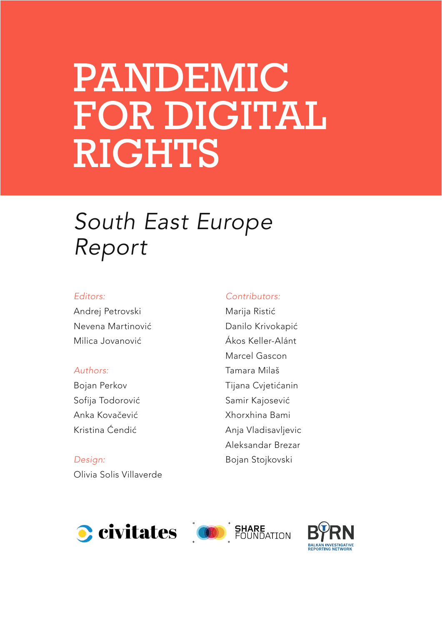# PANDEMIC FOR DIGITAL RIGHTS

### *South East Europe Report*

#### *Editors:*

Andrej Petrovski Nevena Martinović Milica Jovanović

#### *Authors:*

Bojan Perkov Sofija Todorović Anka Kovačević Kristina Ćendić

*Design:*  Olivia Solis Villaverde

#### *Contributors:*

Marija Ristić Danilo Krivokapić Ákos Keller-Alánt Marcel Gascon Tamara Milaš Tijana Cvjetićanin Samir Kajosević Xhorxhina Bami Anja Vladisavljevic Aleksandar Brezar Bojan Stojkovski





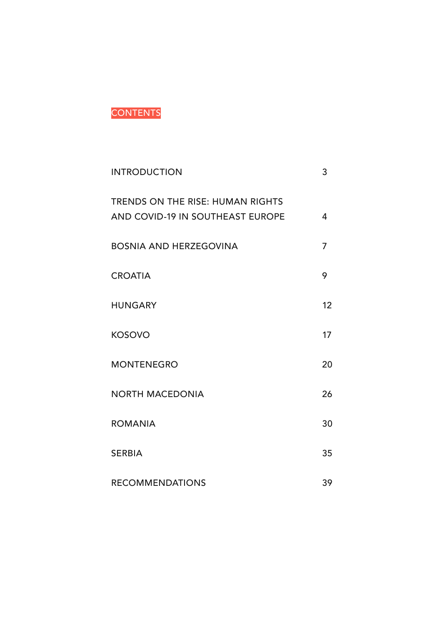#### **CONTENTS**

| <b>INTRODUCTION</b>                                                         | 3              |
|-----------------------------------------------------------------------------|----------------|
| <b>TRENDS ON THE RISE: HUMAN RIGHTS</b><br>AND COVID-19 IN SOUTHEAST EUROPE | 4              |
| <b>BOSNIA AND HERZEGOVINA</b>                                               | $\overline{7}$ |
| <b>CROATIA</b>                                                              | 9              |
| <b>HUNGARY</b>                                                              | 12             |
| <b>KOSOVO</b>                                                               | 17             |
| <b>MONTENEGRO</b>                                                           | 20             |
| <b>NORTH MACEDONIA</b>                                                      | 26             |
| <b>ROMANIA</b>                                                              | 30             |
| <b>SERBIA</b>                                                               | 35             |
| <b>RECOMMENDATIONS</b>                                                      | 39             |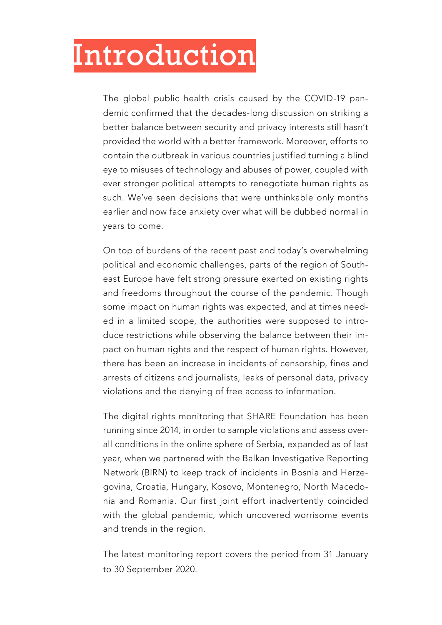### <span id="page-2-0"></span>Introduction

The global public health crisis caused by the COVID-19 pandemic confirmed that the decades-long discussion on striking a better balance between security and privacy interests still hasn't provided the world with a better framework. Moreover, efforts to contain the outbreak in various countries justified turning a blind eye to misuses of technology and abuses of power, coupled with ever stronger political attempts to renegotiate human rights as such. We've seen decisions that were unthinkable only months earlier and now face anxiety over what will be dubbed normal in years to come.

On top of burdens of the recent past and today's overwhelming political and economic challenges, parts of the region of Southeast Europe have felt strong pressure exerted on existing rights and freedoms throughout the course of the pandemic. Though some impact on human rights was expected, and at times needed in a limited scope, the authorities were supposed to introduce restrictions while observing the balance between their impact on human rights and the respect of human rights. However, there has been an increase in incidents of censorship, fines and arrests of citizens and journalists, leaks of personal data, privacy violations and the denying of free access to information.

The digital rights monitoring that SHARE Foundation has been running since 2014, in order to sample violations and assess overall conditions in the online sphere of Serbia, expanded as of last year, when we partnered with the Balkan Investigative Reporting Network (BIRN) to keep track of incidents in Bosnia and Herzegovina, Croatia, Hungary, Kosovo, Montenegro, North Macedonia and Romania. Our first joint effort inadvertently coincided with the global pandemic, which uncovered worrisome events and trends in the region.

The latest monitoring report covers the period from 31 January to 30 September 2020.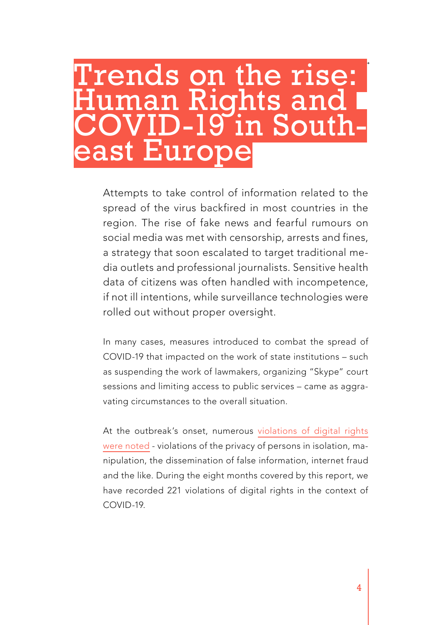# <span id="page-3-0"></span>Trends on the rise: uman Rights and COVID-19 in South-<br>east Europe

Attempts to take control of information related to the spread of the virus backfired in most countries in the region. The rise of fake news and fearful rumours on social media was met with censorship, arrests and fines, a strategy that soon escalated to target traditional media outlets and professional journalists. Sensitive health data of citizens was often handled with incompetence, if not ill intentions, while surveillance technologies were rolled out without proper oversight.

In many cases, measures introduced to combat the spread of COVID-19 that impacted on the work of state institutions – such as suspending the work of lawmakers, organizing "Skype" court sessions and limiting access to public services – came as aggravating circumstances to the overall situation.

At the outbreak's onset, numerous [violations of digital rights](https://www.sharefoundation.info/sr/digitalna-prava-pandemija-i-balkan/) [were noted](https://www.sharefoundation.info/sr/digitalna-prava-pandemija-i-balkan/) - violations of the privacy of persons in isolation, manipulation, the dissemination of false information, internet fraud and the like. During the eight months covered by this report, we have recorded 221 violations of digital rights in the context of COVID-19.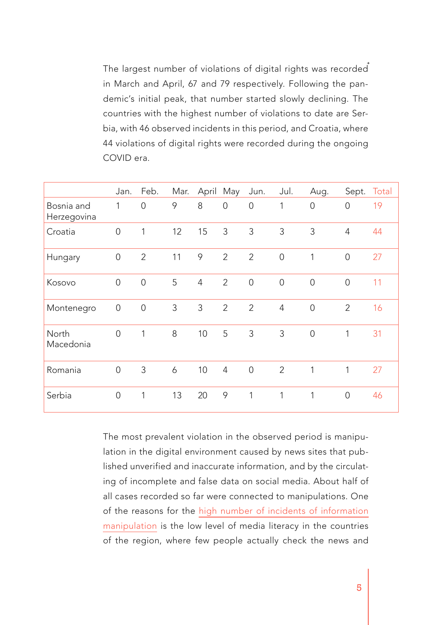The largest number of violations of digital rights was recorded in March and April, 67 and 79 respectively. Following the pandemic's initial peak, that number started slowly declining. The countries with the highest number of violations to date are Serbia, with 46 observed incidents in this period, and Croatia, where 44 violations of digital rights were recorded during the ongoing COVID era.

|                           | Jan.           | Feb.           | Mar. |                | April May      | Jun.           | Jul.           | Aug.           | Sept.          | Total |
|---------------------------|----------------|----------------|------|----------------|----------------|----------------|----------------|----------------|----------------|-------|
| Bosnia and<br>Herzegovina | 1              | 0              | 9    | 8              | $\mathbf 0$    | $\overline{0}$ | $\mathbf{1}$   | $\overline{0}$ | $\overline{0}$ | 19    |
| Croatia                   | $\overline{0}$ | 1              | 12   | 15             | 3              | 3              | 3              | 3              | $\overline{4}$ | 44    |
| Hungary                   | $\overline{0}$ | $\overline{2}$ | 11   | 9              | $\overline{2}$ | $\overline{2}$ | $\overline{0}$ | 1              | $\overline{0}$ | 27    |
| Kosovo                    | $\overline{0}$ | $\overline{O}$ | 5    | $\overline{4}$ | $\overline{2}$ | $\overline{O}$ | $\overline{0}$ | $\overline{0}$ | $\overline{0}$ | 11    |
| Montenegro                | $\mathbf 0$    | $\overline{O}$ | 3    | 3              | $\overline{2}$ | $\overline{2}$ | $\overline{4}$ | $\overline{0}$ | $\overline{2}$ | 16    |
| North<br>Macedonia        | $\overline{O}$ | 1              | 8    | 10             | 5              | 3              | 3              | $\overline{O}$ | 1              | 31    |
| Romania                   | $\overline{0}$ | 3              | 6    | 10             | $\overline{4}$ | $\overline{0}$ | $\overline{2}$ | 1              | 1              | 27    |
| Serbia                    | $\overline{0}$ | 1              | 13   | 20             | 9              | 1              | 1              | 1              | $\overline{0}$ | 46    |

The most prevalent violation in the observed period is manipulation in the digital environment caused by news sites that published unverified and inaccurate information, and by the circulating of incomplete and false data on social media. About half of all cases recorded so far were connected to manipulations. One of the reasons for the [high number of incidents of information](https://bird.tools/wp-content/uploads/2020/06/From-Cures-to-Curses-Manipulation-Flourishes-in-the-Digital-Environment-1.pdf) [manipulation](https://bird.tools/wp-content/uploads/2020/06/From-Cures-to-Curses-Manipulation-Flourishes-in-the-Digital-Environment-1.pdf) is the low level of media literacy in the countries of the region, where few people actually check the news and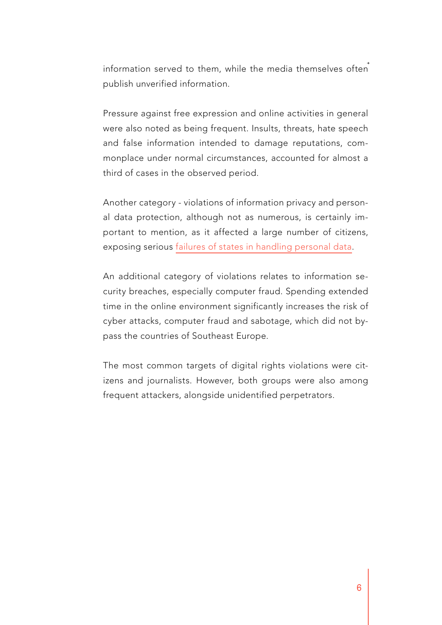information served to them, while the media themselves often publish unverified information.

Pressure against free expression and online activities in general were also noted as being frequent. Insults, threats, hate speech and false information intended to damage reputations, commonplace under normal circumstances, accounted for almost a third of cases in the observed period.

Another category - violations of information privacy and personal data protection, although not as numerous, is certainly important to mention, as it affected a large number of citizens, exposing serious [failures of states in handling personal data](https://www.sharefoundation.info/sr/digitalna-prava-na-balkanu-privatnost-pacijenata-na-udaru/).

An additional category of violations relates to information security breaches, especially computer fraud. Spending extended time in the online environment significantly increases the risk of cyber attacks, computer fraud and sabotage, which did not bypass the countries of Southeast Europe.

The most common targets of digital rights violations were citizens and journalists. However, both groups were also among frequent attackers, alongside unidentified perpetrators.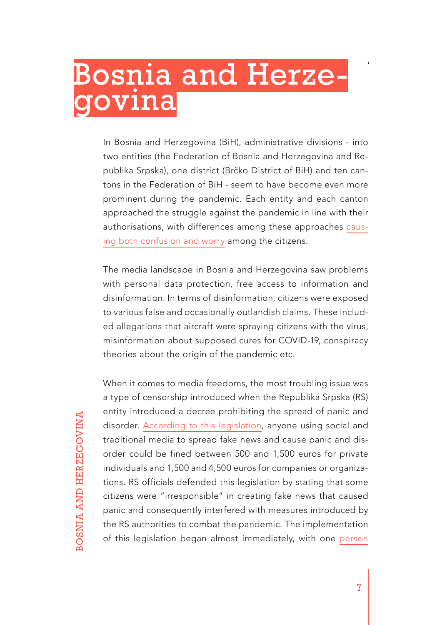# <span id="page-6-0"></span>Bosnia and Herze-<br>govina

In Bosnia and Herzegovina (BiH), administrative divisions - into two entities (the Federation of Bosnia and Herzegovina and Republika Srpska), one district (Brčko District of BiH) and ten cantons in the Federation of BiH - seem to have become even more prominent during the pandemic. Each entity and each canton approached the struggle against the pandemic in line with their authorisations, with differences among these approaches [caus](https://www.slobodnaevropa.org/a/korona-virus-bih-razlicita-pravila-entiteti/30611602.html)[ing both confusion and worry](https://www.slobodnaevropa.org/a/korona-virus-bih-razlicita-pravila-entiteti/30611602.html) among the citizens.

The media landscape in Bosnia and Herzegovina saw problems with personal data protection, free access to information and disinformation. In terms of disinformation, citizens were exposed to various false and occasionally outlandish claims. These included allegations that aircraft were spraying citizens with the virus, misinformation about supposed cures for COVID-19, conspiracy theories about the origin of the pandemic etc.

**BOSNIA AND HERZEGOVINA** BOSNIA AND HERZEGOVINA When it comes to media freedoms, the most troubling issue was a type of censorship introduced when the Republika Srpska (RS) entity introduced a decree prohibiting the spread of panic and disorder. [According to this legislation](http://ba.n1info.com/Vijesti/a423023/Kazne-za-lazne-vijesti.html), anyone using social and traditional media to spread fake news and cause panic and disorder could be fined between 500 and 1,500 euros for private individuals and 1,500 and 4,500 euros for companies or organizations. RS officials defended this legislation by stating that some citizens were "irresponsible" in creating fake news that caused panic and consequently interfered with measures introduced by the RS authorities to combat the pandemic. The implementation of this legislation began almost immediately, with one [person](https://www.slobodnaevropa.org/a/30501278.html)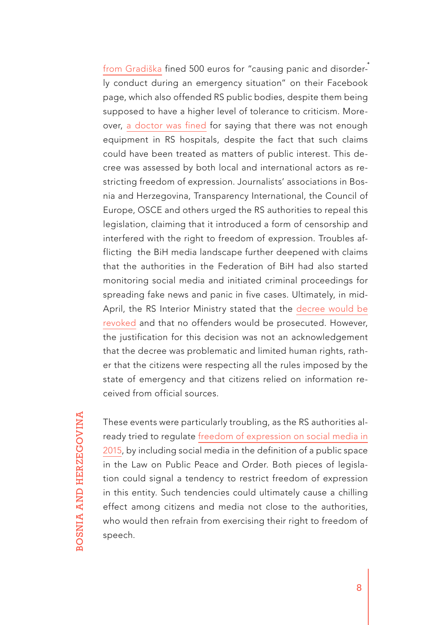[from Gradiška](https://www.slobodnaevropa.org/a/30501278.html) fined 500 euros for "causing panic and disorderly conduct during an emergency situation" on their Facebook page, which also offended RS public bodies, despite them being supposed to have a higher level of tolerance to criticism. Moreover, [a doctor was fined](https://balkaninsight.com/2020/04/08/bosnia-trying-to-censor-information-about-pandemic-journalists-say/) for saying that there was not enough equipment in RS hospitals, despite the fact that such claims could have been treated as matters of public interest. This decree was assessed by both local and international actors as restricting freedom of expression. Journalists' associations in Bosnia and Herzegovina, Transparency International, the Council of Europe, OSCE and others urged the RS authorities to repeal this legislation, claiming that it introduced a form of censorship and interfered with the right to freedom of expression. Troubles afflicting the BiH media landscape further deepened with claims that the authorities in the Federation of BiH had also started monitoring social media and initiated criminal proceedings for spreading fake news and panic in five cases. Ultimately, in mid-April, the RS Interior Ministry stated that the decree would be [revoked](https://www.slobodnaevropa.org/a/30559175.html) and that no offenders would be prosecuted. However, the justification for this decision was not an acknowledgement that the decree was problematic and limited human rights, rather that the citizens were respecting all the rules imposed by the state of emergency and that citizens relied on information received from official sources.

These events were particularly troubling, as the RS authorities already tried to regulate [freedom of expression on social media in](https://resursi.sharefoundation.info/en/resource/republic-of-srpska-trying-to-enforce-public-order-on-the-internet/)  [2015](https://resursi.sharefoundation.info/en/resource/republic-of-srpska-trying-to-enforce-public-order-on-the-internet/), by including social media in the definition of a public space in the Law on Public Peace and Order. Both pieces of legislation could signal a tendency to restrict freedom of expression in this entity. Such tendencies could ultimately cause a chilling effect among citizens and media not close to the authorities, who would then refrain from exercising their right to freedom of speech.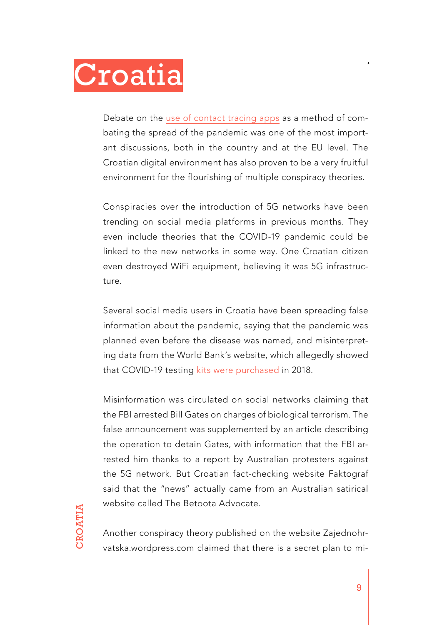<span id="page-8-0"></span>

Debate on the [use of contact tracing apps](https://balkaninsight.com/2020/05/04/contact-tracing-europes-coronavirus-tech-tangle/) as a method of combating the spread of the pandemic was one of the most important discussions, both in the country and at the EU level. The Croatian digital environment has also proven to be a very fruitful environment for the flourishing of multiple conspiracy theories.

Conspiracies over the introduction of 5G networks have been trending on social media platforms in previous months. They even include theories that the COVID-19 pandemic could be linked to the new networks in some way. One Croatian citizen even destroyed WiFi equipment, believing it was 5G infrastructure.

Several social media users in Croatia have been spreading false information about the pandemic, saying that the pandemic was planned even before the disease was named, and misinterpreting data from the World Bank's website, which allegedly showed that COVID-19 testing [kits were purchased](https://archive.li/uojpN) in 2018.

Misinformation was circulated on social networks claiming that the FBI arrested Bill Gates on charges of biological terrorism. The false announcement was supplemented by an article describing the operation to detain Gates, with information that the FBI arrested him thanks to a report by Australian protesters against the 5G network. But Croatian fact-checking website Faktograf said that the "news" actually came from an Australian satirical website called The Betoota Advocate.

Another conspiracy theory published on the website Zajednohrvatska.wordpress.com claimed that there is a secret plan to mi-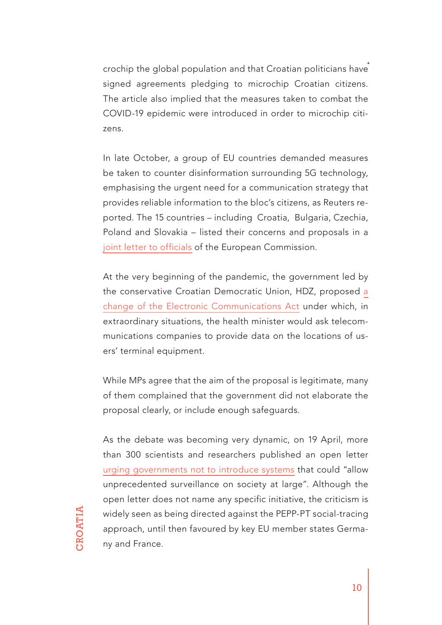crochip the global population and that Croatian politicians have signed agreements pledging to microchip Croatian citizens. The article also implied that the measures taken to combat the COVID-19 epidemic were introduced in order to microchip citizens.

In late October, a group of EU countries demanded measures be taken to counter disinformation surrounding 5G technology, emphasising the urgent need for a communication strategy that provides reliable information to the bloc's citizens, as Reuters reported. The 15 countries – including Croatia, Bulgaria, Czechia, Poland and Slovakia – listed their concerns and proposals in a [joint letter to officials](https://www.reuters.com/article/us-eu-telecoms/eu-needs-long-term-plan-to-tackle-5g-fake-news-15-eu-countries-say-in-joint-call-idUSKBN2740PB) of the European Commission.

At the very beginning of the pandemic, the government led by the conservative Croatian Democratic Union, HDZ, proposed [a](https://bird.tools/croatian-proposal-to-track-self-isolating-citizens-alarms-critics/) [change of the Electronic Communications Act](https://bird.tools/croatian-proposal-to-track-self-isolating-citizens-alarms-critics/) under which, in extraordinary situations, the health minister would ask telecommunications companies to provide data on the locations of users' terminal equipment.

While MPs agree that the aim of the proposal is legitimate, many of them complained that the government did not elaborate the proposal clearly, or include enough safeguards.

As the debate was becoming very dynamic, on 19 April, more than 300 scientists and researchers published an open letter [urging governments not to introduce systems](https://drive.google.com/file/d/1OQg2dxPu-x-RZzETlpV3lFa259Nrpk1J/view) that could "allow unprecedented surveillance on society at large". Although the open letter does not name any specific initiative, the criticism is widely seen as being directed against the PEPP-PT social-tracing approach, until then favoured by key EU member states Germany and France.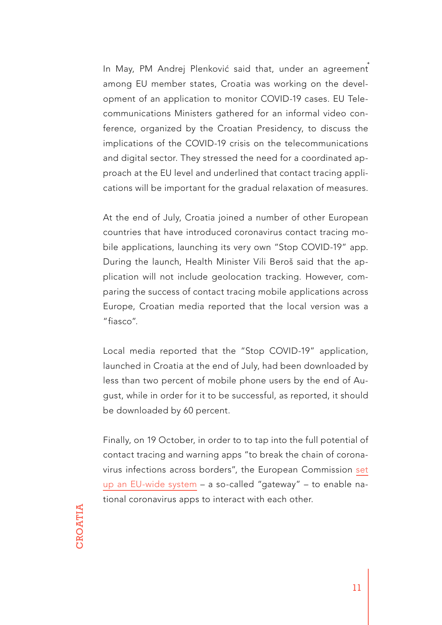In May, PM Andrej Plenković said that, under an agreement among EU member states, Croatia was working on the development of an application to monitor COVID-19 cases. EU Telecommunications Ministers gathered for an informal video conference, organized by the Croatian Presidency, to discuss the implications of the COVID-19 crisis on the telecommunications and digital sector. They stressed the need for a coordinated approach at the EU level and underlined that contact tracing applications will be important for the gradual relaxation of measures.

At the end of July, Croatia joined a number of other European countries that have introduced coronavirus contact tracing mobile applications, launching its very own "Stop COVID-19" app. During the launch, Health Minister Vili Beroš said that the application will not include geolocation tracking. However, comparing the success of contact tracing mobile applications across Europe, Croatian media reported that the local version was a "fiasco".

Local media reported that the "Stop COVID-19" application, launched in Croatia at the end of July, had been downloaded by less than two percent of mobile phone users by the end of August, while in order for it to be successful, as reported, it should be downloaded by 60 percent.

Finally, on 19 October, in order to to tap into the full potential of contact tracing and warning apps "to break the chain of coronavirus infections across borders", the European Commission [set](https://ec.europa.eu/commission/presscorner/detail/en/ip_20_1904) [up an EU-wide system](https://ec.europa.eu/commission/presscorner/detail/en/ip_20_1904) – a so-called "gateway" – to enable national coronavirus apps to interact with each other.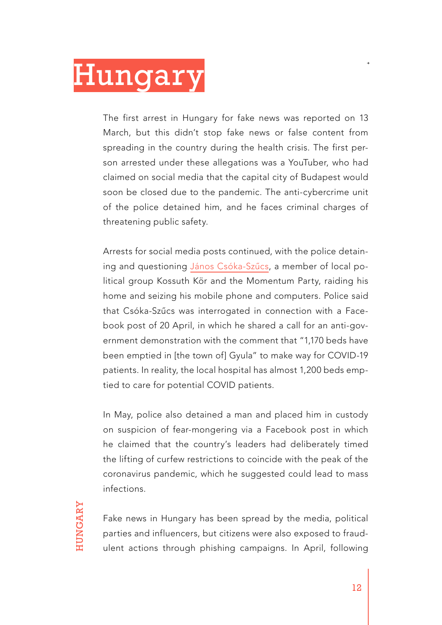# <span id="page-11-0"></span>Hungary

The first arrest in Hungary for fake news was reported on 13 March, but this didn't stop fake news or false content from spreading in the country during the health crisis. The first person arrested under these allegations was a YouTuber, who had claimed on social media that the capital city of Budapest would soon be closed due to the pandemic. The anti-cybercrime unit of the police detained him, and he faces criminal charges of threatening public safety.

Arrests for social media posts continued, with the police detaining and questioning [János Csóka-Szűcs](https://twitter.com/katka_cseh/status/1260528932392259587), a member of local political group Kossuth Kör and the Momentum Party, raiding his home and seizing his mobile phone and computers. Police said that Csóka-Szűcs was interrogated in connection with a Facebook post of 20 April, in which he shared a call for an anti-government demonstration with the comment that "1,170 beds have been emptied in [the town of] Gyula" to make way for COVID-19 patients. In reality, the local hospital has almost 1,200 beds emptied to care for potential COVID patients.

In May, police also detained a man and placed him in custody on suspicion of fear-mongering via a Facebook post in which he claimed that the country's leaders had deliberately timed the lifting of curfew restrictions to coincide with the peak of the coronavirus pandemic, which he suggested could lead to mass infections.

Fake news in Hungary has been spread by the media, political parties and influencers, but citizens were also exposed to fraudulent actions through phishing campaigns. In April, following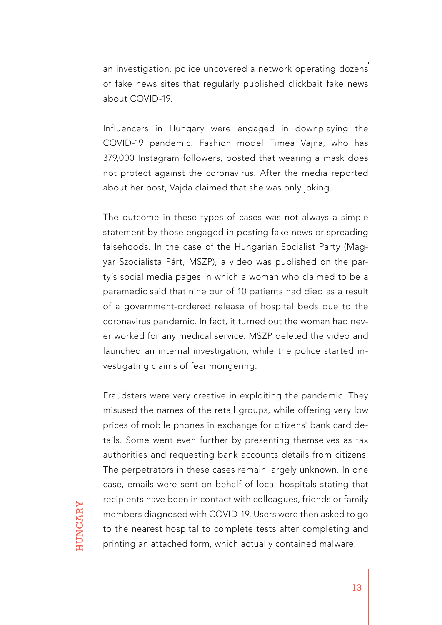an investigation, police uncovered a network operating dozens of fake news sites that regularly published clickbait fake news about COVID-19.

Influencers in Hungary were engaged in downplaying the COVID-19 pandemic. Fashion model Timea Vajna, who has 379,000 Instagram followers, posted that wearing a mask does not protect against the coronavirus. After the media reported about her post, Vajda claimed that she was only joking.

The outcome in these types of cases was not always a simple statement by those engaged in posting fake news or spreading falsehoods. In the case of the Hungarian Socialist Party (Magyar Szocialista Párt, MSZP), a video was published on the party's social media pages in which a woman who claimed to be a paramedic said that nine our of 10 patients had died as a result of a government-ordered release of hospital beds due to the coronavirus pandemic. In fact, it turned out the woman had never worked for any medical service. MSZP deleted the video and launched an internal investigation, while the police started investigating claims of fear mongering.

Fraudsters were very creative in exploiting the pandemic. They misused the names of the retail groups, while offering very low prices of mobile phones in exchange for citizens' bank card details. Some went even further by presenting themselves as tax authorities and requesting bank accounts details from citizens. The perpetrators in these cases remain largely unknown. In one case, emails were sent on behalf of local hospitals stating that recipients have been in contact with colleagues, friends or family members diagnosed with COVID-19. Users were then asked to go to the nearest hospital to complete tests after completing and printing an attached form, which actually contained malware.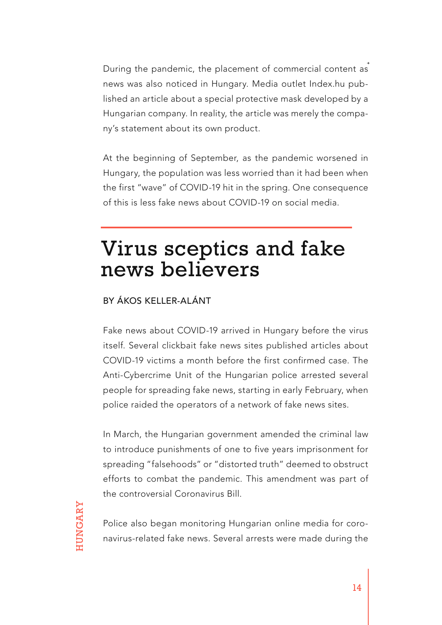During the pandemic, the placement of commercial content as news was also noticed in Hungary. Media outlet Index.hu published an article about a special protective mask developed by a Hungarian company. In reality, the article was merely the company's statement about its own product.

At the beginning of September, as the pandemic worsened in Hungary, the population was less worried than it had been when the first "wave" of COVID-19 hit in the spring. One consequence of this is less fake news about COVID-19 on social media.

### Virus sceptics and fake news believers

#### BY ÁKOS KELLER-ALÁNT

Fake news about COVID-19 arrived in Hungary before the virus itself. Several clickbait fake news sites published articles about COVID-19 victims a month before the first confirmed case. The Anti-Cybercrime Unit of the Hungarian police arrested several people for spreading fake news, starting in early February, when police raided the operators of a network of fake news sites.

In March, the Hungarian government amended the criminal law to introduce punishments of one to five years imprisonment for spreading "falsehoods" or "distorted truth" deemed to obstruct efforts to combat the pandemic. This amendment was part of the controversial Coronavirus Bill.

Police also began monitoring Hungarian online media for coronavirus-related fake news. Several arrests were made during the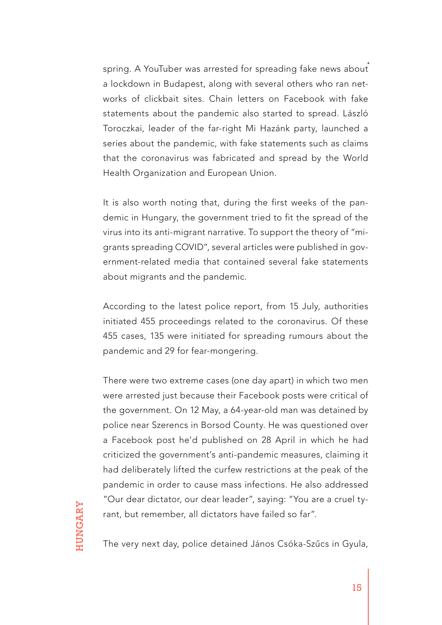spring. A YouTuber was arrested for spreading fake news about a lockdown in Budapest, along with several others who ran networks of clickbait sites. Chain letters on Facebook with fake statements about the pandemic also started to spread. László Toroczkai, leader of the far-right Mi Hazánk party, launched a series about the pandemic, with fake statements such as claims that the coronavirus was fabricated and spread by the World Health Organization and European Union.

It is also worth noting that, during the first weeks of the pandemic in Hungary, the government tried to fit the spread of the virus into its anti-migrant narrative. To support the theory of "migrants spreading COVID", several articles were published in government-related media that contained several fake statements about migrants and the pandemic.

According to the latest police report, from 15 July, authorities initiated 455 proceedings related to the coronavirus. Of these 455 cases, 135 were initiated for spreading rumours about the pandemic and 29 for fear-mongering.

There were two extreme cases (one day apart) in which two men were arrested just because their Facebook posts were critical of the government. On 12 May, a 64-year-old man was detained by police near Szerencs in Borsod County. He was questioned over a Facebook post he'd published on 28 April in which he had criticized the government's anti-pandemic measures, claiming it had deliberately lifted the curfew restrictions at the peak of the pandemic in order to cause mass infections. He also addressed "Our dear dictator, our dear leader", saying: "You are a cruel tyrant, but remember, all dictators have failed so far".

The very next day, police detained János Csóka-Szűcs in Gyula,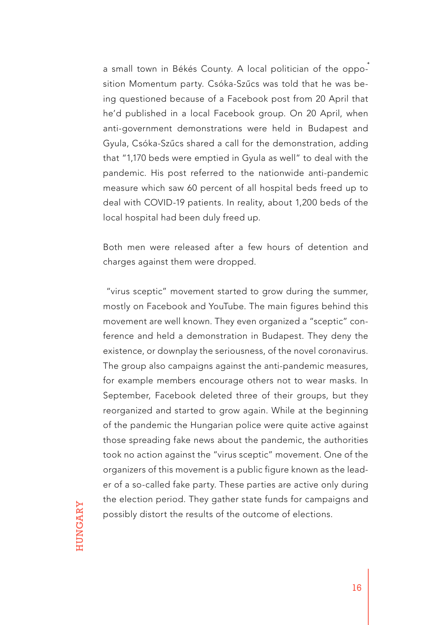a small town in Békés County. A local politician of the opposition Momentum party. Csóka-Szűcs was told that he was being questioned because of a Facebook post from 20 April that he'd published in a local Facebook group. On 20 April, when anti-government demonstrations were held in Budapest and Gyula, Csóka-Szűcs shared a call for the demonstration, adding that "1,170 beds were emptied in Gyula as well" to deal with the pandemic. His post referred to the nationwide anti-pandemic measure which saw 60 percent of all hospital beds freed up to deal with COVID-19 patients. In reality, about 1,200 beds of the local hospital had been duly freed up.

Both men were released after a few hours of detention and charges against them were dropped.

 "virus sceptic" movement started to grow during the summer, mostly on Facebook and YouTube. The main figures behind this movement are well known. They even organized a "sceptic" conference and held a demonstration in Budapest. They deny the existence, or downplay the seriousness, of the novel coronavirus. The group also campaigns against the anti-pandemic measures, for example members encourage others not to wear masks. In September, Facebook deleted three of their groups, but they reorganized and started to grow again. While at the beginning of the pandemic the Hungarian police were quite active against those spreading fake news about the pandemic, the authorities took no action against the "virus sceptic" movement. One of the organizers of this movement is a public figure known as the leader of a so-called fake party. These parties are active only during the election period. They gather state funds for campaigns and possibly distort the results of the outcome of elections.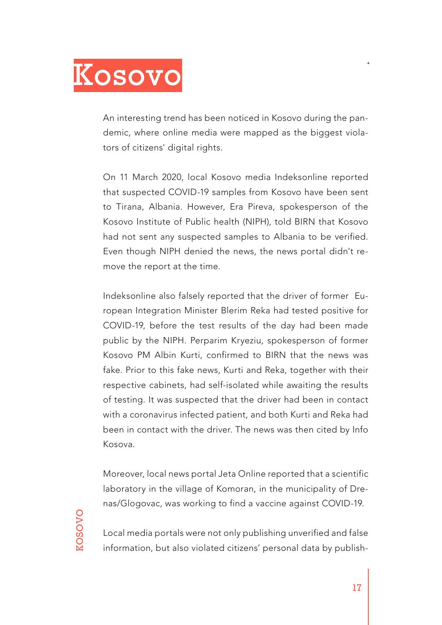<span id="page-16-0"></span>

An interesting trend has been noticed in Kosovo during the pandemic, where online media were mapped as the biggest violators of citizens' digital rights.

On 11 March 2020, local Kosovo media Indeksonline reported that suspected COVID-19 samples from Kosovo have been sent to Tirana, Albania. However, Era Pireva, spokesperson of the Kosovo Institute of Public health (NIPH), told BIRN that Kosovo had not sent any suspected samples to Albania to be verified. Even though NIPH denied the news, the news portal didn't remove the report at the time.

Indeksonline also falsely reported that the driver of former European Integration Minister Blerim Reka had tested positive for COVID-19, before the test results of the day had been made public by the NIPH. Perparim Kryeziu, spokesperson of former Kosovo PM Albin Kurti, confirmed to BIRN that the news was fake. Prior to this fake news, Kurti and Reka, together with their respective cabinets, had self-isolated while awaiting the results of testing. It was suspected that the driver had been in contact with a coronavirus infected patient, and both Kurti and Reka had been in contact with the driver. The news was then cited by Info Kosova.

Moreover, local news portal Jeta Online reported that a scientific laboratory in the village of Komoran, in the municipality of Drenas/Glogovac, was working to find a vaccine against COVID-19.

Local media portals were not only publishing unverified and false information, but also violated citizens' personal data by publish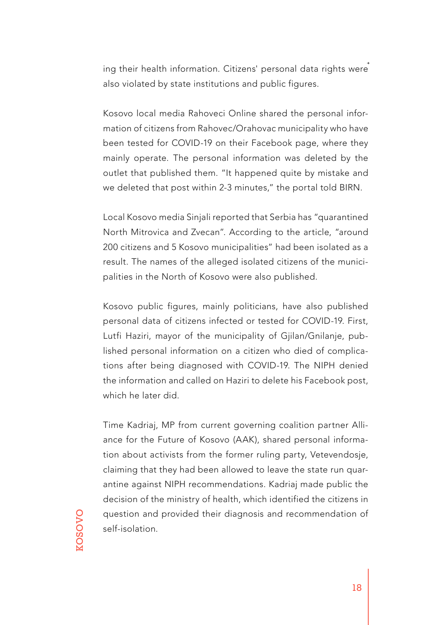ing their health information. Citizens' personal data rights were also violated by state institutions and public figures.

Kosovo local media Rahoveci Online shared the personal information of citizens from Rahovec/Orahovac municipality who have been tested for COVID-19 on their Facebook page, where they mainly operate. The personal information was deleted by the outlet that published them. "It happened quite by mistake and we deleted that post within 2-3 minutes," the portal told BIRN.

Local Kosovo media Sinjali reported that Serbia has "quarantined North Mitrovica and Zvecan". According to the article, "around 200 citizens and 5 Kosovo municipalities" had been isolated as a result. The names of the alleged isolated citizens of the municipalities in the North of Kosovo were also published.

Kosovo public figures, mainly politicians, have also published personal data of citizens infected or tested for COVID-19. First, Lutfi Haziri, mayor of the municipality of Gjilan/Gnilanje, published personal information on a citizen who died of complications after being diagnosed with COVID-19. The NIPH denied the information and called on Haziri to delete his Facebook post, which he later did.

Time Kadriaj, MP from current governing coalition partner Alliance for the Future of Kosovo (AAK), shared personal information about activists from the former ruling party, Vetevendosje, claiming that they had been allowed to leave the state run quarantine against NIPH recommendations. Kadriaj made public the decision of the ministry of health, which identified the citizens in question and provided their diagnosis and recommendation of self-isolation.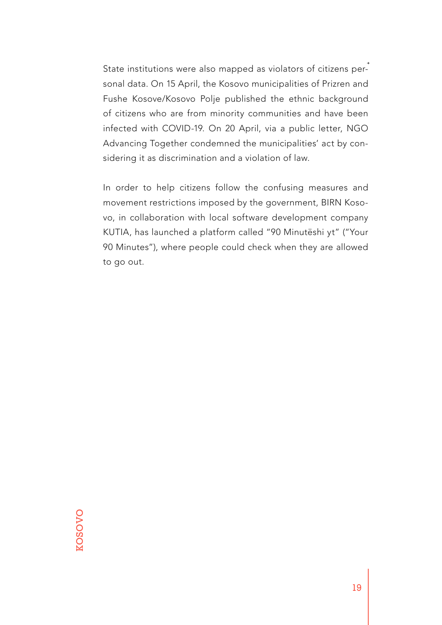State institutions were also mapped as violators of citizens personal data. On 15 April, the Kosovo municipalities of Prizren and Fushe Kosove/Kosovo Polje published the ethnic background of citizens who are from minority communities and have been infected with COVID-19. On 20 April, via a public letter, NGO Advancing Together condemned the municipalities' act by considering it as discrimination and a violation of law.

In order to help citizens follow the confusing measures and movement restrictions imposed by the government, BIRN Kosovo, in collaboration with local software development company KUTIA, has launched a platform called "90 Minutëshi yt" ("Your 90 Minutes"), where people could check when they are allowed to go out.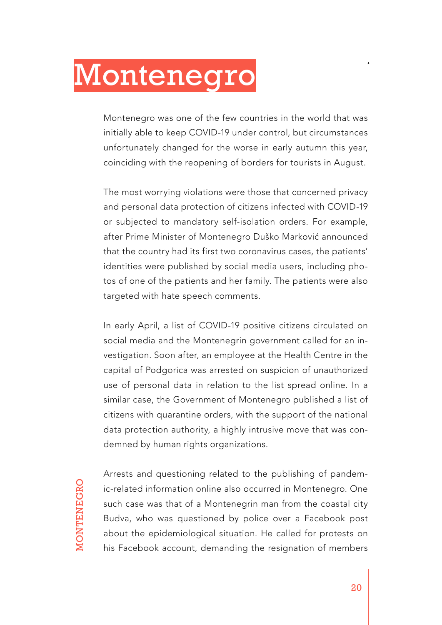# <span id="page-19-0"></span>Montenegro

Montenegro was one of the few countries in the world that was initially able to keep COVID-19 under control, but circumstances unfortunately changed for the worse in early autumn this year, coinciding with the reopening of borders for tourists in August.

The most worrying violations were those that concerned privacy and personal data protection of citizens infected with COVID-19 or subjected to mandatory self-isolation orders. For example, after Prime Minister of Montenegro Duško Marković announced that the country had its first two coronavirus cases, the patients' identities were published by social media users, including photos of one of the patients and her family. The patients were also targeted with hate speech comments.

In early April, a list of COVID-19 positive citizens circulated on social media and the Montenegrin government called for an investigation. Soon after, an employee at the Health Centre in the capital of Podgorica was arrested on suspicion of unauthorized use of personal data in relation to the list spread online. In a similar case, the Government of Montenegro published a list of citizens with quarantine orders, with the support of the national data protection authority, a highly intrusive move that was condemned by human rights organizations.

Arrests and questioning related to the publishing of pandemic-related information online also occurred in Montenegro. One such case was that of a Montenegrin man from the coastal city Budva, who was questioned by police over a Facebook post about the epidemiological situation. He called for protests on his Facebook account, demanding the resignation of members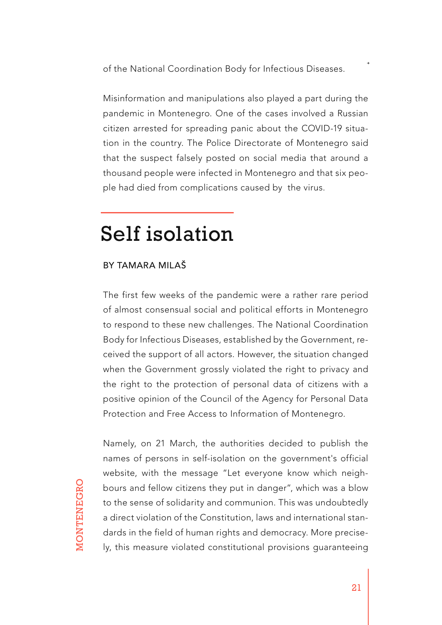of the National Coordination Body for Infectious Diseases.

Misinformation and manipulations also played a part during the pandemic in Montenegro. One of the cases involved a Russian citizen arrested for spreading panic about the COVID-19 situation in the country. The Police Directorate of Montenegro said that the suspect falsely posted on social media that around a thousand people were infected in Montenegro and that six people had died from complications caused by the virus.

### Self isolation

#### BY TAMARA MILAŠ

The first few weeks of the pandemic were a rather rare period of almost consensual social and political efforts in Montenegro to respond to these new challenges. The National Coordination Body for Infectious Diseases, established by the Government, received the support of all actors. However, the situation changed when the Government grossly violated the right to privacy and the right to the protection of personal data of citizens with a positive opinion of the Council of the Agency for Personal Data Protection and Free Access to Information of Montenegro.

MONTENEGRO MONTENEGRO

Namely, on 21 March, the authorities decided to publish the names of persons in self-isolation on the government's official website, with the message "Let everyone know which neighbours and fellow citizens they put in danger", which was a blow to the sense of solidarity and communion. This was undoubtedly a direct violation of the Constitution, laws and international standards in the field of human rights and democracy. More precisely, this measure violated constitutional provisions guaranteeing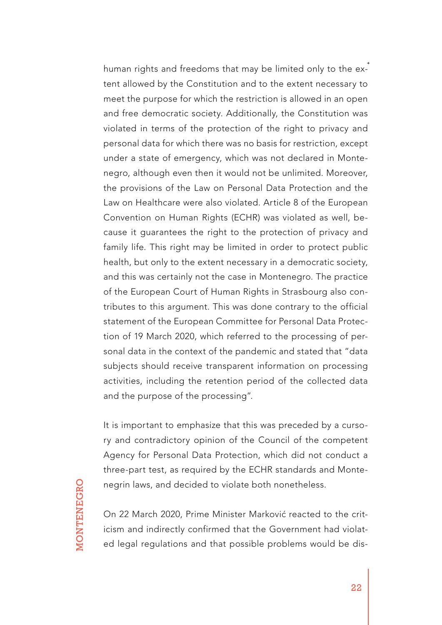human rights and freedoms that may be limited only to the extent allowed by the Constitution and to the extent necessary to meet the purpose for which the restriction is allowed in an open and free democratic society. Additionally, the Constitution was violated in terms of the protection of the right to privacy and personal data for which there was no basis for restriction, except under a state of emergency, which was not declared in Montenegro, although even then it would not be unlimited. Moreover, the provisions of the Law on Personal Data Protection and the Law on Healthcare were also violated. Article 8 of the European Convention on Human Rights (ECHR) was violated as well, because it guarantees the right to the protection of privacy and family life. This right may be limited in order to protect public health, but only to the extent necessary in a democratic society, and this was certainly not the case in Montenegro. The practice of the European Court of Human Rights in Strasbourg also contributes to this argument. This was done contrary to the official statement of the European Committee for Personal Data Protection of 19 March 2020, which referred to the processing of personal data in the context of the pandemic and stated that "data subjects should receive transparent information on processing activities, including the retention period of the collected data and the purpose of the processing".

It is important to emphasize that this was preceded by a cursory and contradictory opinion of the Council of the competent Agency for Personal Data Protection, which did not conduct a three-part test, as required by the ECHR standards and Montenegrin laws, and decided to violate both nonetheless.

On 22 March 2020, Prime Minister Marković reacted to the criticism and indirectly confirmed that the Government had violated legal regulations and that possible problems would be dis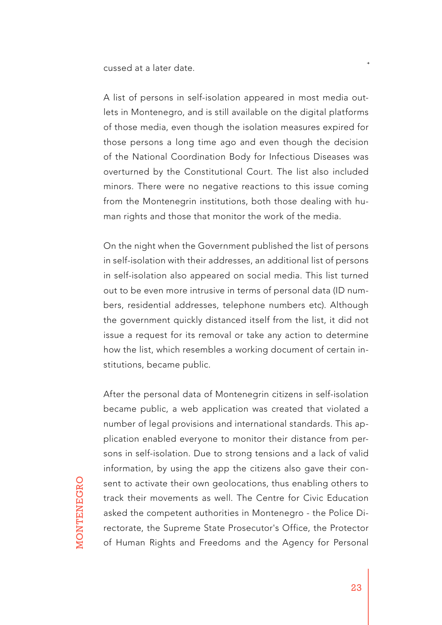cussed at a later date.

A list of persons in self-isolation appeared in most media outlets in Montenegro, and is still available on the digital platforms of those media, even though the isolation measures expired for those persons a long time ago and even though the decision of the National Coordination Body for Infectious Diseases was overturned by the Constitutional Court. The list also included minors. There were no negative reactions to this issue coming from the Montenegrin institutions, both those dealing with human rights and those that monitor the work of the media.

On the night when the Government published the list of persons in self-isolation with their addresses, an additional list of persons in self-isolation also appeared on social media. This list turned out to be even more intrusive in terms of personal data (ID numbers, residential addresses, telephone numbers etc). Although the government quickly distanced itself from the list, it did not issue a request for its removal or take any action to determine how the list, which resembles a working document of certain institutions, became public.

After the personal data of Montenegrin citizens in self-isolation became public, a web application was created that violated a number of legal provisions and international standards. This application enabled everyone to monitor their distance from persons in self-isolation. Due to strong tensions and a lack of valid information, by using the app the citizens also gave their consent to activate their own geolocations, thus enabling others to track their movements as well. The Centre for Civic Education asked the competent authorities in Montenegro - the Police Directorate, the Supreme State Prosecutor's Office, the Protector of Human Rights and Freedoms and the Agency for Personal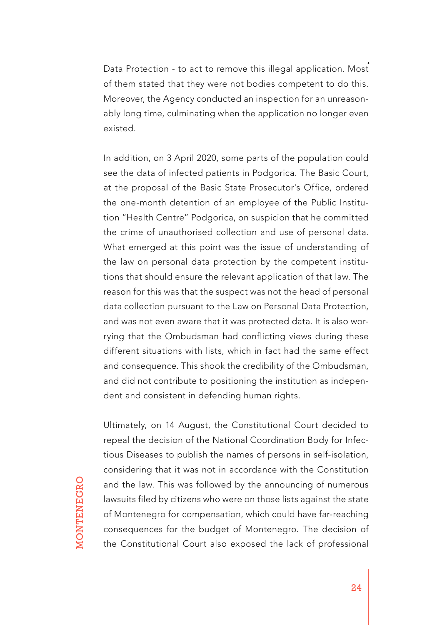Data Protection - to act to remove this illegal application. Most of them stated that they were not bodies competent to do this. Moreover, the Agency conducted an inspection for an unreasonably long time, culminating when the application no longer even existed.

In addition, on 3 April 2020, some parts of the population could see the data of infected patients in Podgorica. The Basic Court, at the proposal of the Basic State Prosecutor's Office, ordered the one-month detention of an employee of the Public Institution "Health Centre" Podgorica, on suspicion that he committed the crime of unauthorised collection and use of personal data. What emerged at this point was the issue of understanding of the law on personal data protection by the competent institutions that should ensure the relevant application of that law. The reason for this was that the suspect was not the head of personal data collection pursuant to the Law on Personal Data Protection, and was not even aware that it was protected data. It is also worrying that the Ombudsman had conflicting views during these different situations with lists, which in fact had the same effect and consequence. This shook the credibility of the Ombudsman, and did not contribute to positioning the institution as independent and consistent in defending human rights.

Ultimately, on 14 August, the Constitutional Court decided to repeal the decision of the National Coordination Body for Infectious Diseases to publish the names of persons in self-isolation, considering that it was not in accordance with the Constitution and the law. This was followed by the announcing of numerous lawsuits filed by citizens who were on those lists against the state of Montenegro for compensation, which could have far-reaching consequences for the budget of Montenegro. The decision of the Constitutional Court also exposed the lack of professional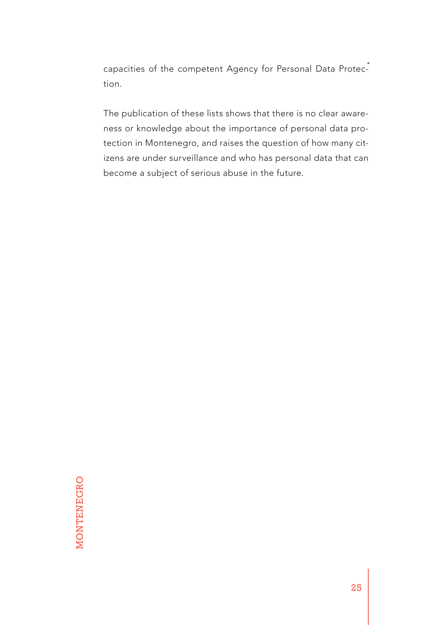capacities of the competent Agency for Personal Data Protection.

The publication of these lists shows that there is no clear awareness or knowledge about the importance of personal data protection in Montenegro, and raises the question of how many citizens are under surveillance and who has personal data that can become a subject of serious abuse in the future.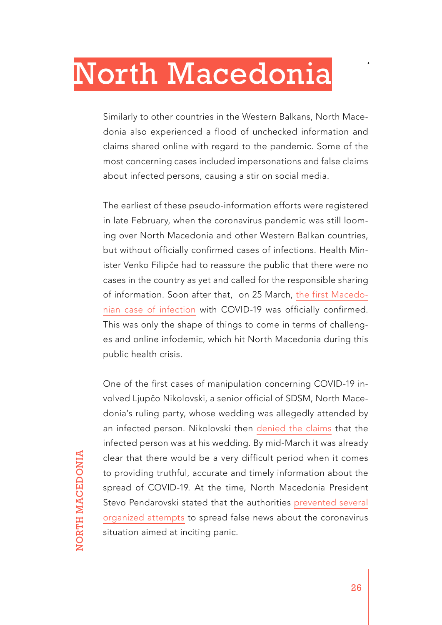## <span id="page-25-0"></span>North Macedonia

Similarly to other countries in the Western Balkans, North Macedonia also experienced a flood of unchecked information and claims shared online with regard to the pandemic. Some of the most concerning cases included impersonations and false claims about infected persons, causing a stir on social media.

The earliest of these pseudo-information efforts were registered in late February, when the coronavirus pandemic was still looming over North Macedonia and other Western Balkan countries, but without officially confirmed cases of infections. Health Minister Venko Filipče had to reassure the public that there were no cases in the country as yet and called for the responsible sharing of information. Soon after that, on 25 March, [the first Macedo](https://www.reuters.com/article/us-china-health-north-macedonia-idUSKCN20K2G8)[nian case of infection](https://www.reuters.com/article/us-china-health-north-macedonia-idUSKCN20K2G8) with COVID-19 was officially confirmed. This was only the shape of things to come in terms of challenges and online infodemic, which hit North Macedonia during this public health crisis.

One of the first cases of manipulation concerning COVID-19 involved Ljupčo Nikolovski, a senior official of SDSM, North Macedonia's ruling party, whose wedding was allegedly attended by an infected person. Nikolovski then [denied the claims](https://www.slobodenpecat.mk/lupcho-nikolovski-doktorkata-ne-beshe-kaj-mene-na-svadba/) that the infected person was at his wedding. By mid-March it was already clear that there would be a very difficult period when it comes to providing truthful, accurate and timely information about the spread of COVID-19. At the time, North Macedonia President Stevo Pendarovski stated that the authorities [prevented several](https://bird.tools/live_updates/north-macedonias-president-said-authorities-prevented-attempts-to-spread-false-news/) [organized attempts](https://bird.tools/live_updates/north-macedonias-president-said-authorities-prevented-attempts-to-spread-false-news/) to spread false news about the coronavirus situation aimed at inciting panic.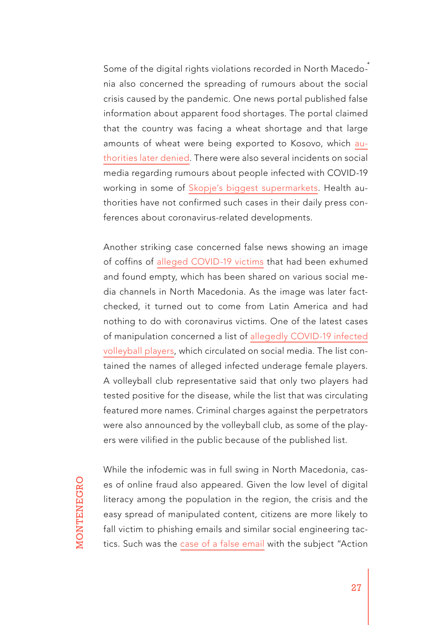Some of the digital rights violations recorded in North Macedonia also concerned the spreading of rumours about the social crisis caused by the pandemic. One news portal published false information about apparent food shortages. The portal claimed that the country was facing a wheat shortage and that large amounts of wheat were being exported to Kosovo, which [au](https://tv21.tv/mk/ministerstvo-za-ekonomija-ima-dovolno-rezervi-na-pchenitsa-nema-nekontroliran-izvoz-vo-kosovo/)[thorities later denied](https://tv21.tv/mk/ministerstvo-za-ekonomija-ima-dovolno-rezervi-na-pchenitsa-nema-nekontroliran-izvoz-vo-kosovo/). There were also several incidents on social media regarding rumours about people infected with COVID-19 working in some of [Skopje's biggest supermarkets](https://twitter.com/Freddy_AFC/status/1243570213309894659). Health authorities have not confirmed such cases in their daily press conferences about coronavirus-related developments.

Another striking case concerned false news showing an image of coffins of [alleged COVID-19 victims](https://www.facebook.com/photo.php?fbid=912004002600391&set=a.110143016119831&type=3&theater) that had been exhumed and found empty, which has been shared on various social media channels in North Macedonia. As the image was later factchecked, it turned out to come from Latin America and had nothing to do with coronavirus victims. One of the latest cases of manipulation concerned a list of [allegedly COVID-19 infected](https://sitel.com.mk/spisok-so-navodno-pozitivni-odbojkarki-od-strumica-se-shiri-na-internet)  [volleyball players,](https://sitel.com.mk/spisok-so-navodno-pozitivni-odbojkarki-od-strumica-se-shiri-na-internet) which circulated on social media. The list contained the names of alleged infected underage female players. A volleyball club representative said that only two players had tested positive for the disease, while the list that was circulating featured more names. Criminal charges against the perpetrators were also announced by the volleyball club, as some of the players were vilified in the public because of the published list.

While the infodemic was in full swing in North Macedonia, cases of online fraud also appeared. Given the low level of digital literacy among the population in the region, the crisis and the easy spread of manipulated content, citizens are more likely to fall victim to phishing emails and similar social engineering tactics. Such was the [case of a false email](https://twitter.com/VFilipche/status/1259778938223632386) with the subject "Action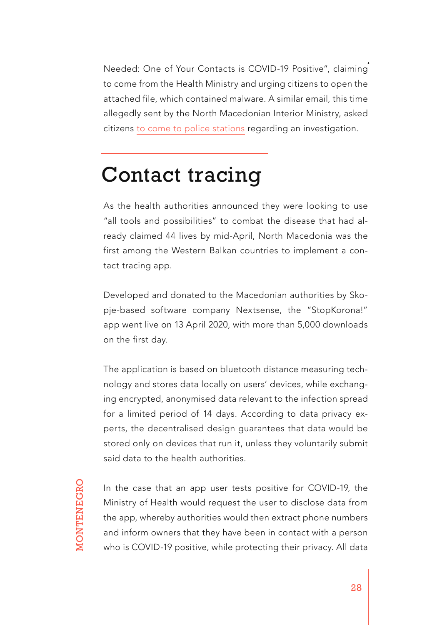Needed: One of Your Contacts is COVID-19 Positive", claiming to come from the Health Ministry and urging citizens to open the attached file, which contained malware. A similar email, this time allegedly sent by the North Macedonian Interior Ministry, asked citizens [to come to police stations](https://tv21.tv/mk/lazhni-pokani-za-navodna-istraga-mvr-predupreduva-graganite-da-ne-nasednuvaat/) regarding an investigation.

### Contact tracing

As the health authorities announced they were looking to use "all tools and possibilities" to combat the disease that had already claimed 44 lives by mid-April, North Macedonia was the first among the Western Balkan countries to implement a contact tracing app.

Developed and donated to the Macedonian authorities by Skopje-based software company Nextsense, the "StopKorona!" app went live on 13 April 2020, with more than 5,000 downloads on the first day.

The application is based on bluetooth distance measuring technology and stores data locally on users' devices, while exchanging encrypted, anonymised data relevant to the infection spread for a limited period of 14 days. According to data privacy experts, the decentralised design guarantees that data would be stored only on devices that run it, unless they voluntarily submit said data to the health authorities.

In the case that an app user tests positive for COVID-19, the Ministry of Health would request the user to disclose data from the app, whereby authorities would then extract phone numbers and inform owners that they have been in contact with a person who is COVID-19 positive, while protecting their privacy. All data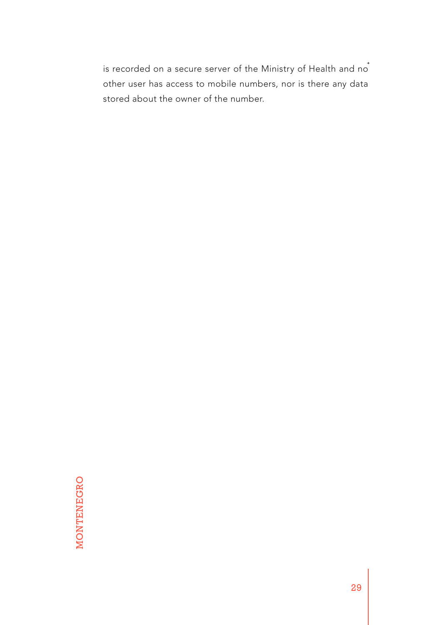is recorded on a secure server of the Ministry of Health and no<sup>+</sup> other user has access to mobile numbers, nor is there any data stored about the owner of the number.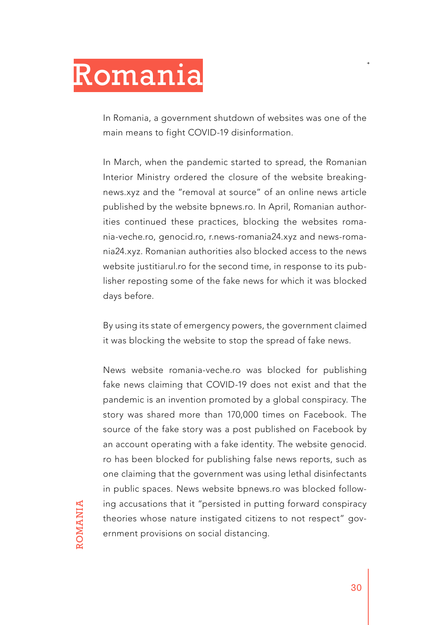# <span id="page-29-0"></span>Romania

In Romania, a government shutdown of websites was one of the main means to fight COVID-19 disinformation.

In March, when the pandemic started to spread, the Romanian Interior Ministry ordered the closure of the website breakingnews.xyz and the "removal at source" of an online news article published by the website bpnews.ro. In April, Romanian authorities continued these practices, blocking the websites romania-veche.ro, genocid.ro, r.news-romania24.xyz and news-romania24.xyz. Romanian authorities also blocked access to the news website justitiarul.ro for the second time, in response to its publisher reposting some of the fake news for which it was blocked days before.

By using its state of emergency powers, the government claimed it was blocking the website to stop the spread of fake news.

News website romania-veche.ro was blocked for publishing fake news claiming that COVID-19 does not exist and that the pandemic is an invention promoted by a global conspiracy. The story was shared more than 170,000 times on Facebook. The source of the fake story was a post published on Facebook by an account operating with a fake identity. The website genocid. ro has been blocked for publishing false news reports, such as one claiming that the government was using lethal disinfectants in public spaces. News website bpnews.ro was blocked following accusations that it "persisted in putting forward conspiracy theories whose nature instigated citizens to not respect" government provisions on social distancing.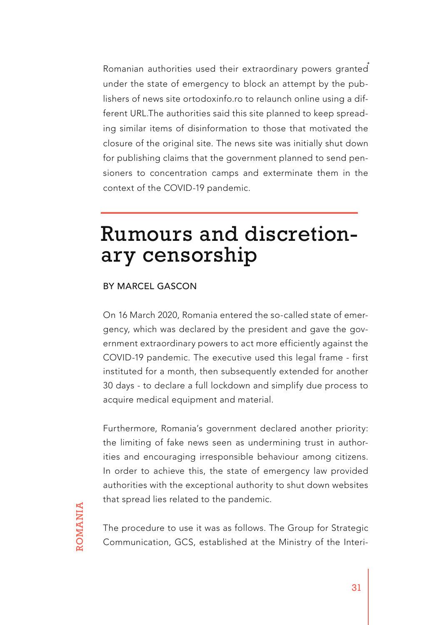Romanian authorities used their extraordinary powers granted under the state of emergency to block an attempt by the publishers of news site ortodoxinfo.ro to relaunch online using a different URL.The authorities said this site planned to keep spreading similar items of disinformation to those that motivated the closure of the original site. The news site was initially shut down for publishing claims that the government planned to send pensioners to concentration camps and exterminate them in the context of the COVID-19 pandemic.

### Rumours and discretionary censorship

#### BY MARCEL GASCON

On 16 March 2020, Romania entered the so-called state of emergency, which was declared by the president and gave the government extraordinary powers to act more efficiently against the COVID-19 pandemic. The executive used this legal frame - first instituted for a month, then subsequently extended for another 30 days - to declare a full lockdown and simplify due process to acquire medical equipment and material.

Furthermore, Romania's government declared another priority: the limiting of fake news seen as undermining trust in authorities and encouraging irresponsible behaviour among citizens. In order to achieve this, the state of emergency law provided authorities with the exceptional authority to shut down websites that spread lies related to the pandemic.

The procedure to use it was as follows. The Group for Strategic Communication, GCS, established at the Ministry of the Interi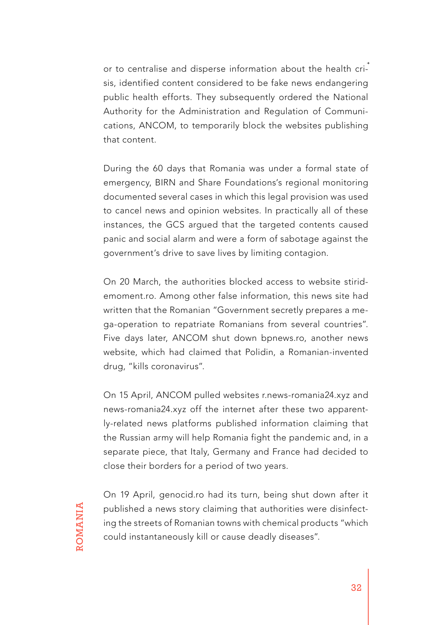or to centralise and disperse information about the health crisis, identified content considered to be fake news endangering public health efforts. They subsequently ordered the National Authority for the Administration and Regulation of Communications, ANCOM, to temporarily block the websites publishing that content.

During the 60 days that Romania was under a formal state of emergency, BIRN and Share Foundations's regional monitoring documented several cases in which this legal provision was used to cancel news and opinion websites. In practically all of these instances, the GCS argued that the targeted contents caused panic and social alarm and were a form of sabotage against the government's drive to save lives by limiting contagion.

On 20 March, the authorities blocked access to website stiridemoment.ro. Among other false information, this news site had written that the Romanian "Government secretly prepares a mega-operation to repatriate Romanians from several countries". Five days later, ANCOM shut down bpnews.ro, another news website, which had claimed that Polidin, a Romanian-invented drug, "kills coronavirus".

On 15 April, ANCOM pulled websites r.news-romania24.xyz and news-romania24.xyz off the internet after these two apparently-related news platforms published information claiming that the Russian army will help Romania fight the pandemic and, in a separate piece, that Italy, Germany and France had decided to close their borders for a period of two years.

On 19 April, genocid.ro had its turn, being shut down after it published a news story claiming that authorities were disinfecting the streets of Romanian towns with chemical products "which could instantaneously kill or cause deadly diseases".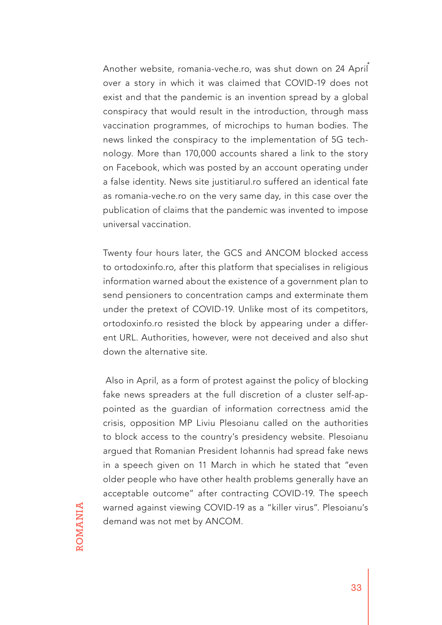Another website, romania-veche.ro, was shut down on 24 April over a story in which it was claimed that COVID-19 does not exist and that the pandemic is an invention spread by a global conspiracy that would result in the introduction, through mass vaccination programmes, of microchips to human bodies. The news linked the conspiracy to the implementation of 5G technology. More than 170,000 accounts shared a link to the story on Facebook, which was posted by an account operating under a false identity. News site justitiarul.ro suffered an identical fate as romania-veche.ro on the very same day, in this case over the publication of claims that the pandemic was invented to impose universal vaccination.

Twenty four hours later, the GCS and ANCOM blocked access to ortodoxinfo.ro, after this platform that specialises in religious information warned about the existence of a government plan to send pensioners to concentration camps and exterminate them under the pretext of COVID-19. Unlike most of its competitors, ortodoxinfo.ro resisted the block by appearing under a different URL. Authorities, however, were not deceived and also shut down the alternative site.

 Also in April, as a form of protest against the policy of blocking fake news spreaders at the full discretion of a cluster self-appointed as the guardian of information correctness amid the crisis, opposition MP Liviu Plesoianu called on the authorities to block access to the country's presidency website. Plesoianu argued that Romanian President Iohannis had spread fake news in a speech given on 11 March in which he stated that "even older people who have other health problems generally have an acceptable outcome" after contracting COVID-19. The speech warned against viewing COVID-19 as a "killer virus". Plesoianu's demand was not met by ANCOM.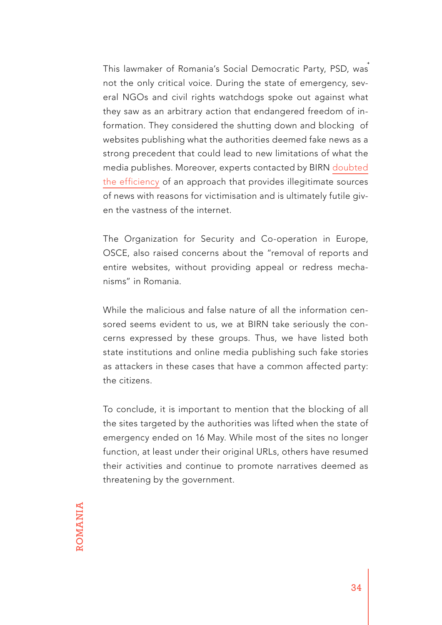This lawmaker of Romania's Social Democratic Party, PSD, was not the only critical voice. During the state of emergency, several NGOs and civil rights watchdogs spoke out against what they saw as an arbitrary action that endangered freedom of information. They considered the shutting down and blocking of websites publishing what the authorities deemed fake news as a strong precedent that could lead to new limitations of what the media publishes. Moreover, experts contacted by BIRN [doubted](https://balkaninsight.com/2020/04/27/romanias-drive-to-censor-fake-news-worries-activists/) [the efficiency](https://balkaninsight.com/2020/04/27/romanias-drive-to-censor-fake-news-worries-activists/) of an approach that provides illegitimate sources of news with reasons for victimisation and is ultimately futile given the vastness of the internet.

The Organization for Security and Co-operation in Europe, OSCE, also raised concerns about the "removal of reports and entire websites, without providing appeal or redress mechanisms" in Romania.

While the malicious and false nature of all the information censored seems evident to us, we at BIRN take seriously the concerns expressed by these groups. Thus, we have listed both state institutions and online media publishing such fake stories as attackers in these cases that have a common affected party: the citizens.

To conclude, it is important to mention that the blocking of all the sites targeted by the authorities was lifted when the state of emergency ended on 16 May. While most of the sites no longer function, at least under their original URLs, others have resumed their activities and continue to promote narratives deemed as threatening by the government.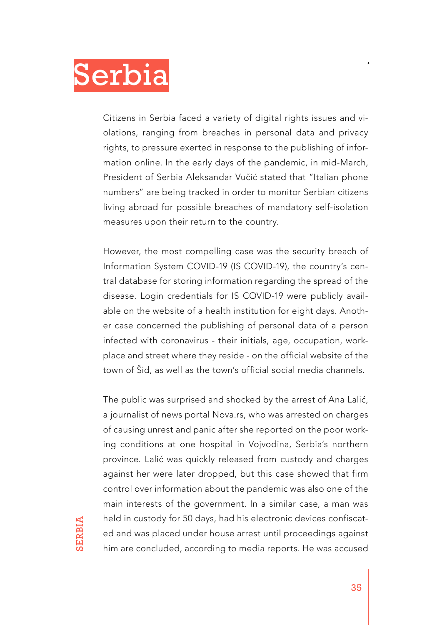<span id="page-34-0"></span>

Citizens in Serbia faced a variety of digital rights issues and violations, ranging from breaches in personal data and privacy rights, to pressure exerted in response to the publishing of information online. In the early days of the pandemic, in mid-March, President of Serbia Aleksandar Vučić stated that "Italian phone numbers" are being tracked in order to monitor Serbian citizens living abroad for possible breaches of mandatory self-isolation measures upon their return to the country.

However, the most compelling case was the security breach of Information System COVID-19 (IS COVID-19), the country's central database for storing information regarding the spread of the disease. Login credentials for IS COVID-19 were publicly available on the website of a health institution for eight days. Another case concerned the publishing of personal data of a person infected with coronavirus - their initials, age, occupation, workplace and street where they reside - on the official website of the town of Šid, as well as the town's official social media channels.

The public was surprised and shocked by the arrest of Ana Lalić, a journalist of news portal Nova.rs, who was arrested on charges of causing unrest and panic after she reported on the poor working conditions at one hospital in Vojvodina, Serbia's northern province. Lalić was quickly released from custody and charges against her were later dropped, but this case showed that firm control over information about the pandemic was also one of the main interests of the government. In a similar case, a man was held in custody for 50 days, had his electronic devices confiscated and was placed under house arrest until proceedings against him are concluded, according to media reports. He was accused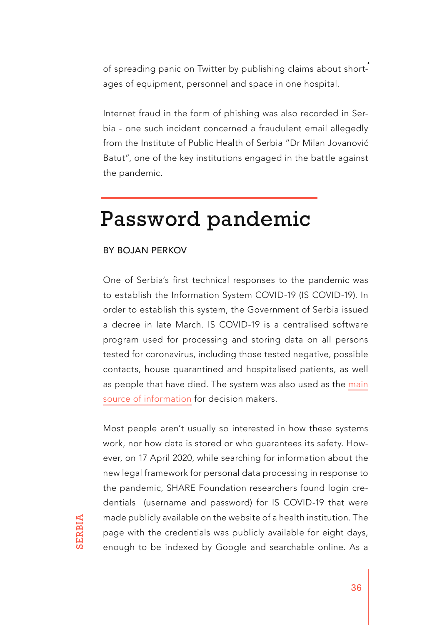of spreading panic on Twitter by publishing claims about shortages of equipment, personnel and space in one hospital.

Internet fraud in the form of phishing was also recorded in Serbia - one such incident concerned a fraudulent email allegedly from the Institute of Public Health of Serbia "Dr Milan Jovanović Batut", one of the key institutions engaged in the battle against the pandemic.

### Password pandemic

#### BY BOJAN PERKOV

One of Serbia's first technical responses to the pandemic was to establish the Information System COVID-19 (IS COVID-19). In order to establish this system, the Government of Serbia issued a decree in late March. IS COVID-19 is a centralised software program used for processing and storing data on all persons tested for coronavirus, including those tested negative, possible contacts, house quarantined and hospitalised patients, as well as people that have died. The system was also used as the [main](https://www.sharefoundation.info/sr/tokovi-podataka-covid-19/) [source of information](https://www.sharefoundation.info/sr/tokovi-podataka-covid-19/) for decision makers.

Most people aren't usually so interested in how these systems work, nor how data is stored or who guarantees its safety. However, on 17 April 2020, while searching for information about the new legal framework for personal data processing in response to the pandemic, SHARE Foundation researchers found login credentials (username and password) for IS COVID-19 that were made publicly available on the website of a health institution. The page with the credentials was publicly available for eight days, enough to be indexed by Google and searchable online. As a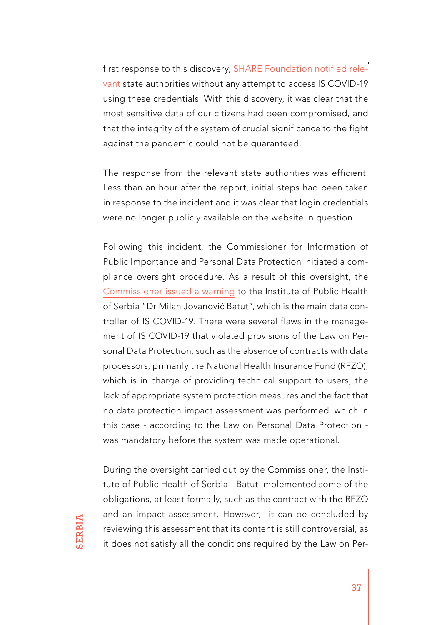first response to this discovery, [SHARE Foundation notified rele](https://www.sharefoundation.info/en/a-password-pandemic/)[vant](https://www.sharefoundation.info/en/a-password-pandemic/) state authorities without any attempt to access IS COVID-19 using these credentials. With this discovery, it was clear that the most sensitive data of our citizens had been compromised, and that the integrity of the system of crucial significance to the fight against the pandemic could not be guaranteed.

The response from the relevant state authorities was efficient. Less than an hour after the report, initial steps had been taken in response to the incident and it was clear that login credentials were no longer publicly available on the website in question.

Following this incident, the Commissioner for Information of Public Importance and Personal Data Protection initiated a compliance oversight procedure. As a result of this oversight, the [Commissioner issued a warning](https://www.sharefoundation.info/sr/opomena-batutu-zbog-bezbednosnog-incidenta-sa-licnim-podacima-gradana/) to the Institute of Public Health of Serbia "Dr Milan Jovanović Batut", which is the main data controller of IS COVID-19. There were several flaws in the management of IS COVID-19 that violated provisions of the Law on Personal Data Protection, such as the absence of contracts with data processors, primarily the National Health Insurance Fund (RFZO), which is in charge of providing technical support to users, the lack of appropriate system protection measures and the fact that no data protection impact assessment was performed, which in this case - according to the Law on Personal Data Protection was mandatory before the system was made operational.

During the oversight carried out by the Commissioner, the Institute of Public Health of Serbia - Batut implemented some of the obligations, at least formally, such as the contract with the RFZO and an impact assessment. However, it can be concluded by reviewing this assessment that its content is still controversial, as it does not satisfy all the conditions required by the Law on Per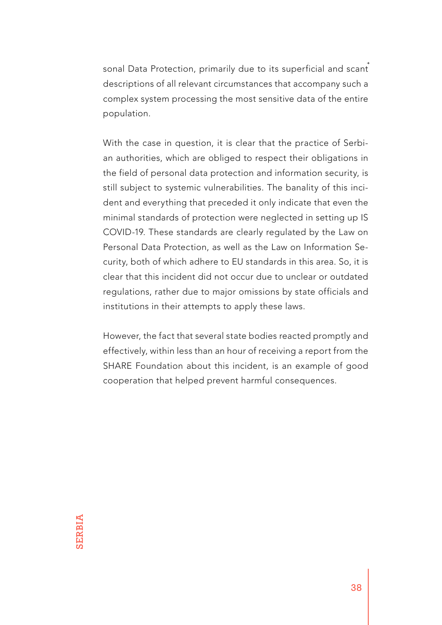sonal Data Protection, primarily due to its superficial and scant descriptions of all relevant circumstances that accompany such a complex system processing the most sensitive data of the entire population.

With the case in question, it is clear that the practice of Serbian authorities, which are obliged to respect their obligations in the field of personal data protection and information security, is still subject to systemic vulnerabilities. The banality of this incident and everything that preceded it only indicate that even the minimal standards of protection were neglected in setting up IS COVID-19. These standards are clearly regulated by the Law on Personal Data Protection, as well as the Law on Information Security, both of which adhere to EU standards in this area. So, it is clear that this incident did not occur due to unclear or outdated regulations, rather due to major omissions by state officials and institutions in their attempts to apply these laws.

However, the fact that several state bodies reacted promptly and effectively, within less than an hour of receiving a report from the SHARE Foundation about this incident, is an example of good cooperation that helped prevent harmful consequences.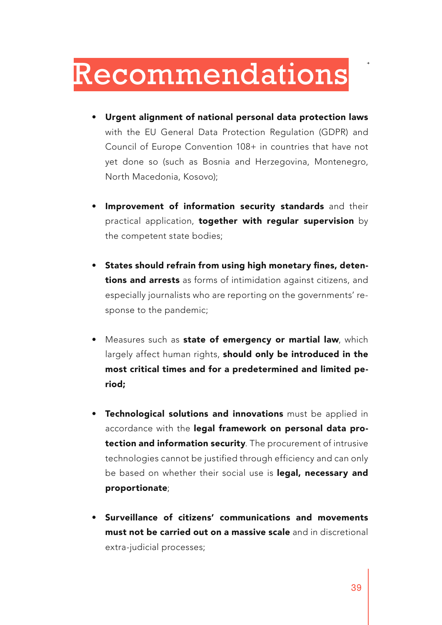### <span id="page-38-0"></span>Recommendations

- Urgent alignment of national personal data protection laws with the EU General Data Protection Regulation (GDPR) and Council of Europe Convention 108+ in countries that have not yet done so (such as Bosnia and Herzegovina, Montenegro, North Macedonia, Kosovo);
- Improvement of information security standards and their practical application, together with regular supervision by the competent state bodies;
- States should refrain from using high monetary fines, detentions and arrests as forms of intimidation against citizens, and especially journalists who are reporting on the governments' response to the pandemic;
- Measures such as **state of emergency or martial law**, which largely affect human rights, should only be introduced in the most critical times and for a predetermined and limited period;
- Technological solutions and innovations must be applied in accordance with the legal framework on personal data protection and information security. The procurement of intrusive technologies cannot be justified through efficiency and can only be based on whether their social use is legal, necessary and proportionate;
- Surveillance of citizens' communications and movements must not be carried out on a massive scale and in discretional extra-judicial processes;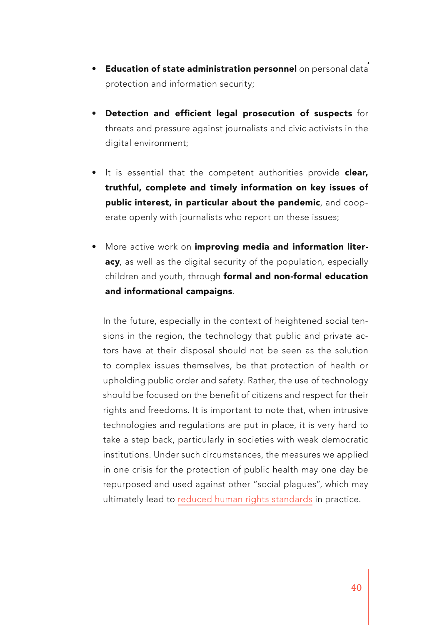- Education of state administration personnel on personal data protection and information security;
- Detection and efficient legal prosecution of suspects for threats and pressure against journalists and civic activists in the digital environment;
- It is essential that the competent authorities provide clear, truthful, complete and timely information on key issues of public interest, in particular about the pandemic, and cooperate openly with journalists who report on these issues;
- More active work on improving media and information literacy, as well as the digital security of the population, especially children and youth, through formal and non-formal education and informational campaigns.

In the future, especially in the context of heightened social tensions in the region, the technology that public and private actors have at their disposal should not be seen as the solution to complex issues themselves, be that protection of health or upholding public order and safety. Rather, the use of technology should be focused on the benefit of citizens and respect for their rights and freedoms. It is important to note that, when intrusive technologies and regulations are put in place, it is very hard to take a step back, particularly in societies with weak democratic institutions. Under such circumstances, the measures we applied in one crisis for the protection of public health may one day be repurposed and used against other "social plagues", which may ultimately lead to [reduced human rights standards](https://www.sharefoundation.info/sr/dan-posle-pandemije-idemo-li-ka-distopiji-nadzora/) in practice.